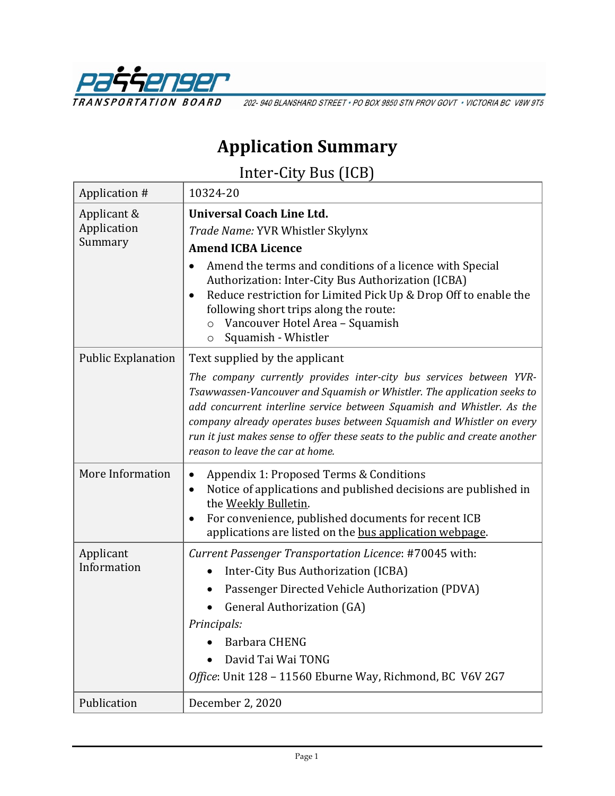

202-940 BLANSHARD STREET · PO BOX 9850 STN PROV GOVT · VICTORIA BC V8W 9T5

# **Application Summary**

Inter-City Bus (ICB)

| Application #                         | 10324-20                                                                                                                                                                                                                                                                                                                                                                                                               |
|---------------------------------------|------------------------------------------------------------------------------------------------------------------------------------------------------------------------------------------------------------------------------------------------------------------------------------------------------------------------------------------------------------------------------------------------------------------------|
| Applicant &<br>Application<br>Summary | <b>Universal Coach Line Ltd.</b><br>Trade Name: YVR Whistler Skylynx<br><b>Amend ICBA Licence</b>                                                                                                                                                                                                                                                                                                                      |
|                                       | Amend the terms and conditions of a licence with Special<br>Authorization: Inter-City Bus Authorization (ICBA)<br>Reduce restriction for Limited Pick Up & Drop Off to enable the<br>$\bullet$<br>following short trips along the route:<br>Vancouver Hotel Area - Squamish<br>$\circ$<br>Squamish - Whistler<br>$\circ$                                                                                               |
| <b>Public Explanation</b>             | Text supplied by the applicant                                                                                                                                                                                                                                                                                                                                                                                         |
|                                       | The company currently provides inter-city bus services between YVR-<br>Tsawwassen-Vancouver and Squamish or Whistler. The application seeks to<br>add concurrent interline service between Squamish and Whistler. As the<br>company already operates buses between Squamish and Whistler on every<br>run it just makes sense to offer these seats to the public and create another<br>reason to leave the car at home. |
| More Information                      | Appendix 1: Proposed Terms & Conditions<br>Notice of applications and published decisions are published in<br>$\bullet$<br>the Weekly Bulletin.<br>For convenience, published documents for recent ICB<br>applications are listed on the bus application webpage.                                                                                                                                                      |
| Applicant<br>Information              | Current Passenger Transportation Licence: #70045 with:                                                                                                                                                                                                                                                                                                                                                                 |
|                                       | Inter-City Bus Authorization (ICBA)                                                                                                                                                                                                                                                                                                                                                                                    |
|                                       | Passenger Directed Vehicle Authorization (PDVA)                                                                                                                                                                                                                                                                                                                                                                        |
|                                       | <b>General Authorization (GA)</b>                                                                                                                                                                                                                                                                                                                                                                                      |
|                                       | Principals:                                                                                                                                                                                                                                                                                                                                                                                                            |
|                                       | <b>Barbara CHENG</b>                                                                                                                                                                                                                                                                                                                                                                                                   |
|                                       | David Tai Wai TONG<br>Office: Unit 128 - 11560 Eburne Way, Richmond, BC V6V 2G7                                                                                                                                                                                                                                                                                                                                        |
|                                       |                                                                                                                                                                                                                                                                                                                                                                                                                        |
| Publication                           | December 2, 2020                                                                                                                                                                                                                                                                                                                                                                                                       |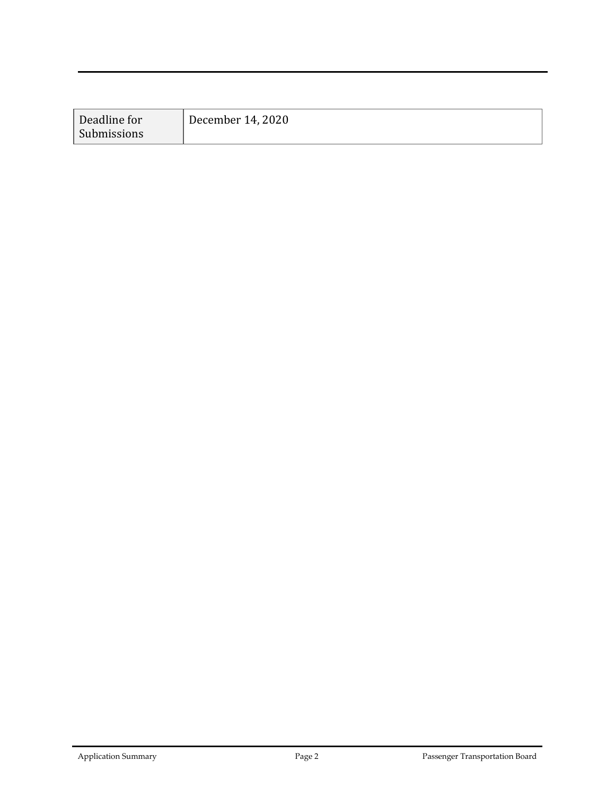| Deadline for | December 14, 2020 |
|--------------|-------------------|
| Submissions  |                   |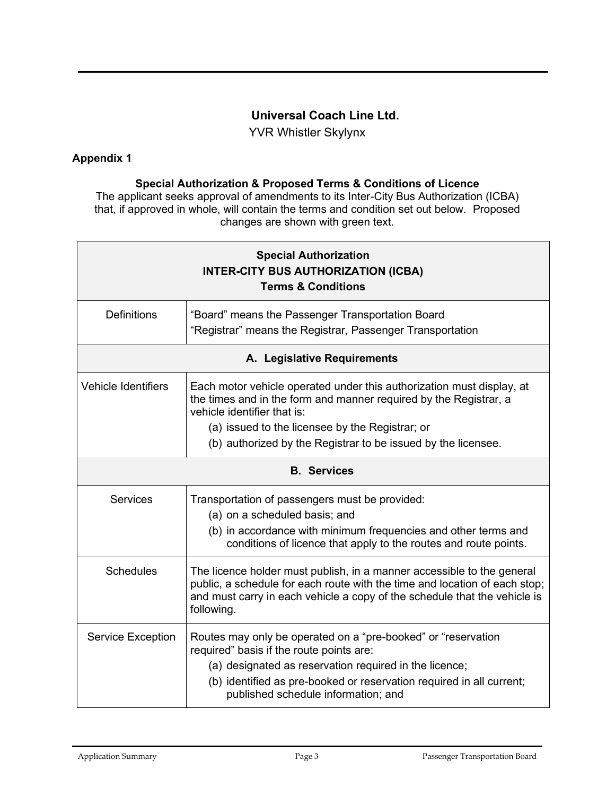## **Universal Coach Line Ltd.**

YVR Whistler Skylynx

## **Appendix 1**

#### **Special Authorization & Proposed Terms & Conditions of Licence**

The applicant seeks approval of amendments to its Inter-City Bus Authorization (ICBA) that, if approved in whole, will contain the terms and condition set out below. Proposed changes are shown with green text.

| <b>Special Authorization</b><br><b>INTER-CITY BUS AUTHORIZATION (ICBA)</b><br><b>Terms &amp; Conditions</b> |                                                                                                                                                                                                                                                                                    |  |
|-------------------------------------------------------------------------------------------------------------|------------------------------------------------------------------------------------------------------------------------------------------------------------------------------------------------------------------------------------------------------------------------------------|--|
| <b>Definitions</b>                                                                                          | "Board" means the Passenger Transportation Board<br>"Registrar" means the Registrar, Passenger Transportation                                                                                                                                                                      |  |
| A. Legislative Requirements                                                                                 |                                                                                                                                                                                                                                                                                    |  |
| <b>Vehicle Identifiers</b>                                                                                  | Each motor vehicle operated under this authorization must display, at<br>the times and in the form and manner required by the Registrar, a<br>vehicle identifier that is:                                                                                                          |  |
|                                                                                                             | (a) issued to the licensee by the Registrar; or<br>(b) authorized by the Registrar to be issued by the licensee.                                                                                                                                                                   |  |
|                                                                                                             |                                                                                                                                                                                                                                                                                    |  |
|                                                                                                             | <b>B.</b> Services                                                                                                                                                                                                                                                                 |  |
| <b>Services</b>                                                                                             | Transportation of passengers must be provided:<br>(a) on a scheduled basis; and<br>(b) in accordance with minimum frequencies and other terms and<br>conditions of licence that apply to the routes and route points.                                                              |  |
| <b>Schedules</b>                                                                                            | The licence holder must publish, in a manner accessible to the general<br>public, a schedule for each route with the time and location of each stop;<br>and must carry in each vehicle a copy of the schedule that the vehicle is<br>following.                                    |  |
| <b>Service Exception</b>                                                                                    | Routes may only be operated on a "pre-booked" or "reservation<br>required" basis if the route points are:<br>(a) designated as reservation required in the licence;<br>(b) identified as pre-booked or reservation required in all current;<br>published schedule information; and |  |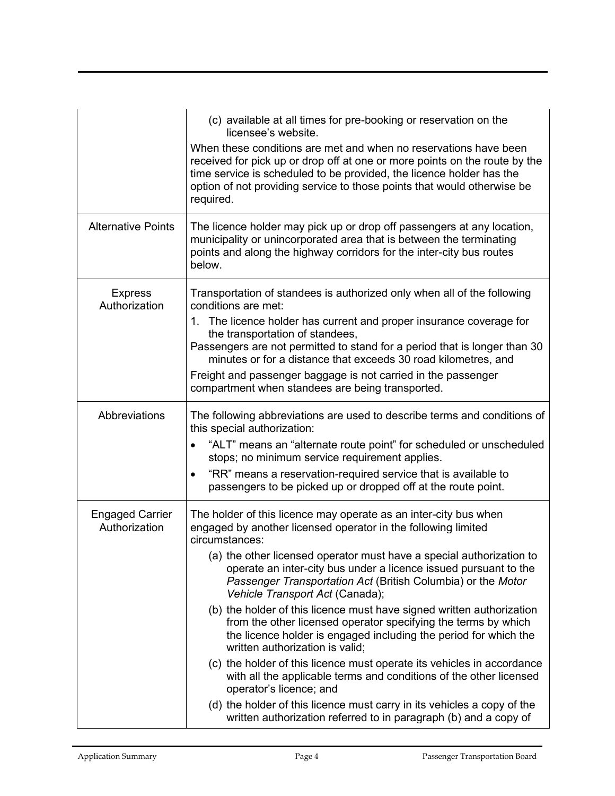|                                         | (c) available at all times for pre-booking or reservation on the<br>licensee's website.<br>When these conditions are met and when no reservations have been<br>received for pick up or drop off at one or more points on the route by the<br>time service is scheduled to be provided, the licence holder has the |
|-----------------------------------------|-------------------------------------------------------------------------------------------------------------------------------------------------------------------------------------------------------------------------------------------------------------------------------------------------------------------|
|                                         | option of not providing service to those points that would otherwise be<br>required.                                                                                                                                                                                                                              |
| <b>Alternative Points</b>               | The licence holder may pick up or drop off passengers at any location,<br>municipality or unincorporated area that is between the terminating<br>points and along the highway corridors for the inter-city bus routes<br>below.                                                                                   |
| <b>Express</b><br>Authorization         | Transportation of standees is authorized only when all of the following<br>conditions are met:                                                                                                                                                                                                                    |
|                                         | 1. The licence holder has current and proper insurance coverage for<br>the transportation of standees,                                                                                                                                                                                                            |
|                                         | Passengers are not permitted to stand for a period that is longer than 30<br>minutes or for a distance that exceeds 30 road kilometres, and                                                                                                                                                                       |
|                                         | Freight and passenger baggage is not carried in the passenger<br>compartment when standees are being transported.                                                                                                                                                                                                 |
| Abbreviations                           | The following abbreviations are used to describe terms and conditions of<br>this special authorization:                                                                                                                                                                                                           |
|                                         | "ALT" means an "alternate route point" for scheduled or unscheduled<br>$\bullet$<br>stops; no minimum service requirement applies.                                                                                                                                                                                |
|                                         | "RR" means a reservation-required service that is available to<br>passengers to be picked up or dropped off at the route point.                                                                                                                                                                                   |
| <b>Engaged Carrier</b><br>Authorization | The holder of this licence may operate as an inter-city bus when<br>engaged by another licensed operator in the following limited<br>circumstances:                                                                                                                                                               |
|                                         | (a) the other licensed operator must have a special authorization to<br>operate an inter-city bus under a licence issued pursuant to the<br>Passenger Transportation Act (British Columbia) or the Motor<br>Vehicle Transport Act (Canada);                                                                       |
|                                         | (b) the holder of this licence must have signed written authorization<br>from the other licensed operator specifying the terms by which<br>the licence holder is engaged including the period for which the<br>written authorization is valid;                                                                    |
|                                         | (c) the holder of this licence must operate its vehicles in accordance<br>with all the applicable terms and conditions of the other licensed<br>operator's licence; and                                                                                                                                           |
|                                         | (d) the holder of this licence must carry in its vehicles a copy of the<br>written authorization referred to in paragraph (b) and a copy of                                                                                                                                                                       |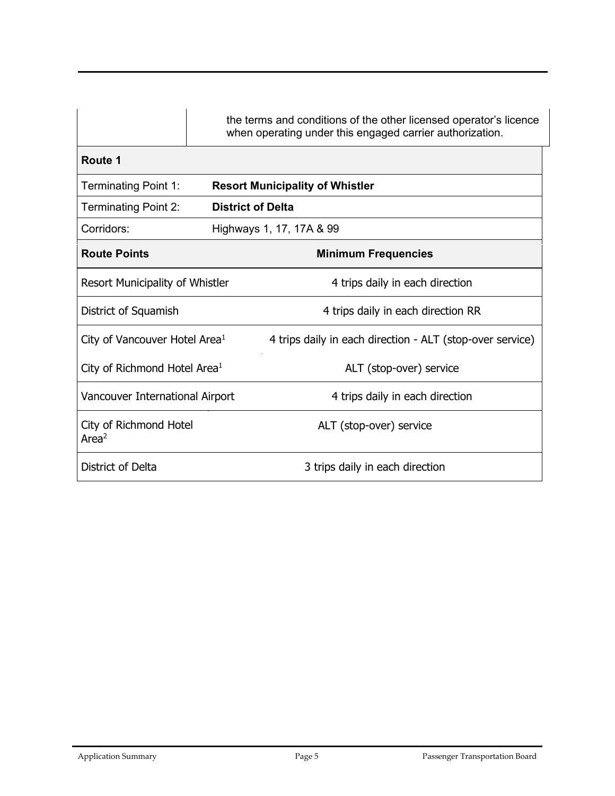|                                           |                          | the terms and conditions of the other licensed operator's licence<br>when operating under this engaged carrier authorization. |
|-------------------------------------------|--------------------------|-------------------------------------------------------------------------------------------------------------------------------|
| Route 1                                   |                          |                                                                                                                               |
| <b>Terminating Point 1:</b>               |                          | <b>Resort Municipality of Whistler</b>                                                                                        |
| <b>Terminating Point 2:</b>               | <b>District of Delta</b> |                                                                                                                               |
| Corridors:                                |                          | Highways 1, 17, 17A & 99                                                                                                      |
| <b>Route Points</b>                       |                          | <b>Minimum Frequencies</b>                                                                                                    |
| Resort Municipality of Whistler           |                          | 4 trips daily in each direction                                                                                               |
| District of Squamish                      |                          | 4 trips daily in each direction RR                                                                                            |
| City of Vancouver Hotel Area <sup>1</sup> |                          | 4 trips daily in each direction - ALT (stop-over service)                                                                     |
| City of Richmond Hotel Area <sup>1</sup>  |                          | ALT (stop-over) service                                                                                                       |
| Vancouver International Airport           |                          | 4 trips daily in each direction                                                                                               |
| City of Richmond Hotel<br>Area $2$        |                          | ALT (stop-over) service                                                                                                       |
| District of Delta                         |                          | 3 trips daily in each direction                                                                                               |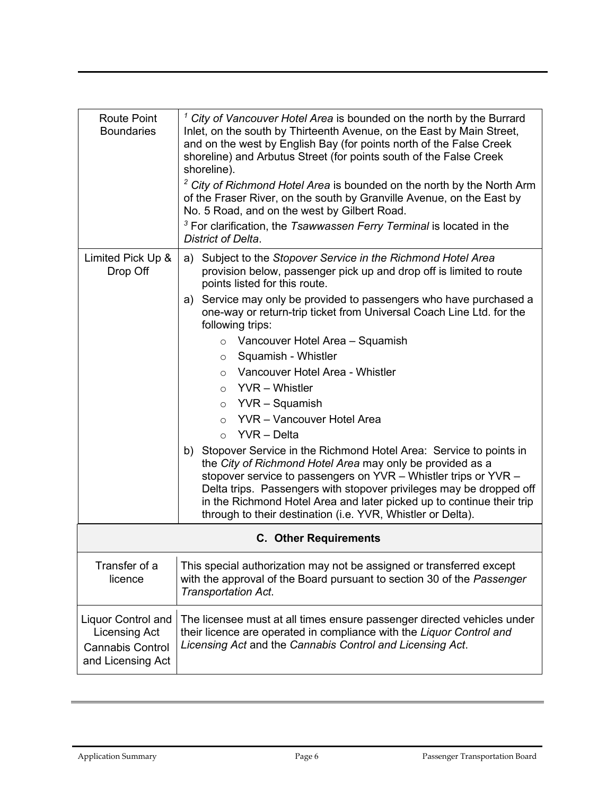| <b>Route Point</b><br><b>Boundaries</b>                                                           | $1$ City of Vancouver Hotel Area is bounded on the north by the Burrard<br>Inlet, on the south by Thirteenth Avenue, on the East by Main Street,<br>and on the west by English Bay (for points north of the False Creek<br>shoreline) and Arbutus Street (for points south of the False Creek<br>shoreline).<br>$2$ City of Richmond Hotel Area is bounded on the north by the North Arm<br>of the Fraser River, on the south by Granville Avenue, on the East by<br>No. 5 Road, and on the west by Gilbert Road.<br>$3$ For clarification, the Tsawwassen Ferry Terminal is located in the<br>District of Delta. |  |
|---------------------------------------------------------------------------------------------------|-------------------------------------------------------------------------------------------------------------------------------------------------------------------------------------------------------------------------------------------------------------------------------------------------------------------------------------------------------------------------------------------------------------------------------------------------------------------------------------------------------------------------------------------------------------------------------------------------------------------|--|
| Limited Pick Up &<br>Drop Off                                                                     | a) Subject to the Stopover Service in the Richmond Hotel Area<br>provision below, passenger pick up and drop off is limited to route<br>points listed for this route.                                                                                                                                                                                                                                                                                                                                                                                                                                             |  |
|                                                                                                   | a) Service may only be provided to passengers who have purchased a<br>one-way or return-trip ticket from Universal Coach Line Ltd. for the<br>following trips:                                                                                                                                                                                                                                                                                                                                                                                                                                                    |  |
|                                                                                                   | $\circ$ Vancouver Hotel Area - Squamish                                                                                                                                                                                                                                                                                                                                                                                                                                                                                                                                                                           |  |
|                                                                                                   | Squamish - Whistler<br>$\circ$                                                                                                                                                                                                                                                                                                                                                                                                                                                                                                                                                                                    |  |
|                                                                                                   | o Vancouver Hotel Area - Whistler                                                                                                                                                                                                                                                                                                                                                                                                                                                                                                                                                                                 |  |
|                                                                                                   | $\circ$ YVR - Whistler                                                                                                                                                                                                                                                                                                                                                                                                                                                                                                                                                                                            |  |
|                                                                                                   | $\circ$ YVR – Squamish                                                                                                                                                                                                                                                                                                                                                                                                                                                                                                                                                                                            |  |
|                                                                                                   | $\circ$ YVR - Vancouver Hotel Area                                                                                                                                                                                                                                                                                                                                                                                                                                                                                                                                                                                |  |
|                                                                                                   | $\circ$ YVR – Delta                                                                                                                                                                                                                                                                                                                                                                                                                                                                                                                                                                                               |  |
|                                                                                                   | b) Stopover Service in the Richmond Hotel Area: Service to points in<br>the City of Richmond Hotel Area may only be provided as a<br>stopover service to passengers on YVR - Whistler trips or YVR -<br>Delta trips. Passengers with stopover privileges may be dropped off<br>in the Richmond Hotel Area and later picked up to continue their trip<br>through to their destination (i.e. YVR, Whistler or Delta).                                                                                                                                                                                               |  |
| <b>C.</b> Other Requirements                                                                      |                                                                                                                                                                                                                                                                                                                                                                                                                                                                                                                                                                                                                   |  |
| Transfer of a<br>licence                                                                          | This special authorization may not be assigned or transferred except<br>with the approval of the Board pursuant to section 30 of the Passenger<br>Transportation Act.                                                                                                                                                                                                                                                                                                                                                                                                                                             |  |
| <b>Liquor Control and</b><br><b>Licensing Act</b><br><b>Cannabis Control</b><br>and Licensing Act | The licensee must at all times ensure passenger directed vehicles under<br>their licence are operated in compliance with the Liquor Control and<br>Licensing Act and the Cannabis Control and Licensing Act.                                                                                                                                                                                                                                                                                                                                                                                                      |  |
|                                                                                                   |                                                                                                                                                                                                                                                                                                                                                                                                                                                                                                                                                                                                                   |  |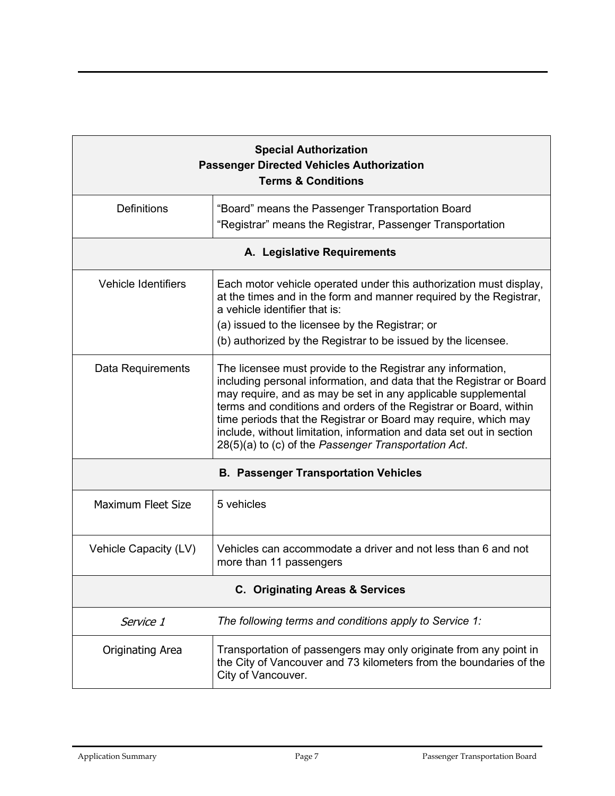| <b>Special Authorization</b><br><b>Passenger Directed Vehicles Authorization</b><br><b>Terms &amp; Conditions</b> |                                                                                                                                                                                                                                                                                                                                                                                                                                                                              |  |
|-------------------------------------------------------------------------------------------------------------------|------------------------------------------------------------------------------------------------------------------------------------------------------------------------------------------------------------------------------------------------------------------------------------------------------------------------------------------------------------------------------------------------------------------------------------------------------------------------------|--|
| <b>Definitions</b>                                                                                                | "Board" means the Passenger Transportation Board<br>"Registrar" means the Registrar, Passenger Transportation                                                                                                                                                                                                                                                                                                                                                                |  |
| A. Legislative Requirements                                                                                       |                                                                                                                                                                                                                                                                                                                                                                                                                                                                              |  |
| <b>Vehicle Identifiers</b>                                                                                        | Each motor vehicle operated under this authorization must display,<br>at the times and in the form and manner required by the Registrar,<br>a vehicle identifier that is:<br>(a) issued to the licensee by the Registrar; or<br>(b) authorized by the Registrar to be issued by the licensee.                                                                                                                                                                                |  |
| Data Requirements                                                                                                 | The licensee must provide to the Registrar any information,<br>including personal information, and data that the Registrar or Board<br>may require, and as may be set in any applicable supplemental<br>terms and conditions and orders of the Registrar or Board, within<br>time periods that the Registrar or Board may require, which may<br>include, without limitation, information and data set out in section<br>28(5)(a) to (c) of the Passenger Transportation Act. |  |
| <b>B. Passenger Transportation Vehicles</b>                                                                       |                                                                                                                                                                                                                                                                                                                                                                                                                                                                              |  |
| <b>Maximum Fleet Size</b>                                                                                         | 5 vehicles                                                                                                                                                                                                                                                                                                                                                                                                                                                                   |  |
| Vehicle Capacity (LV)                                                                                             | Vehicles can accommodate a driver and not less than 6 and not<br>more than 11 passengers                                                                                                                                                                                                                                                                                                                                                                                     |  |
| <b>C. Originating Areas &amp; Services</b>                                                                        |                                                                                                                                                                                                                                                                                                                                                                                                                                                                              |  |
| Service 1                                                                                                         | The following terms and conditions apply to Service 1:                                                                                                                                                                                                                                                                                                                                                                                                                       |  |
| <b>Originating Area</b>                                                                                           | Transportation of passengers may only originate from any point in<br>the City of Vancouver and 73 kilometers from the boundaries of the<br>City of Vancouver.                                                                                                                                                                                                                                                                                                                |  |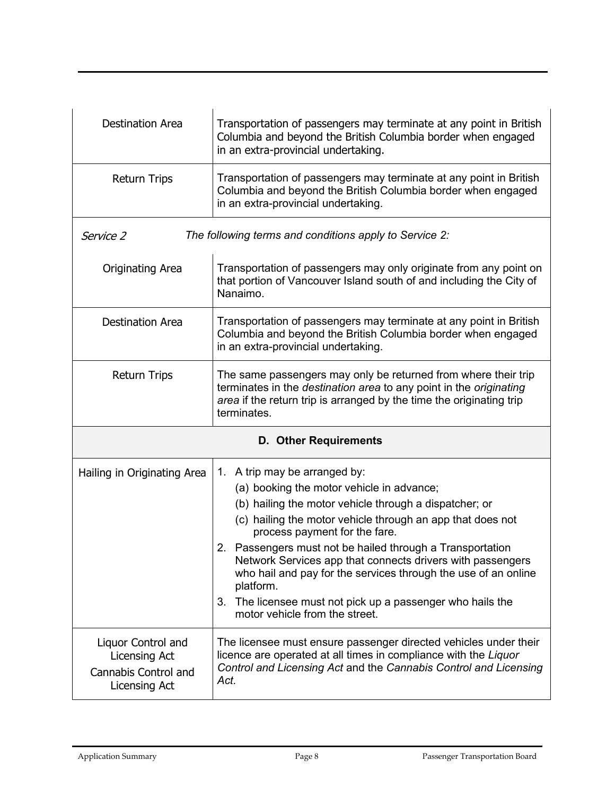| <b>Destination Area</b>                                                             | Transportation of passengers may terminate at any point in British<br>Columbia and beyond the British Columbia border when engaged<br>in an extra-provincial undertaking.                                                                                                                                                                                                                                                                                                                                                                     |  |
|-------------------------------------------------------------------------------------|-----------------------------------------------------------------------------------------------------------------------------------------------------------------------------------------------------------------------------------------------------------------------------------------------------------------------------------------------------------------------------------------------------------------------------------------------------------------------------------------------------------------------------------------------|--|
| <b>Return Trips</b>                                                                 | Transportation of passengers may terminate at any point in British<br>Columbia and beyond the British Columbia border when engaged<br>in an extra-provincial undertaking.                                                                                                                                                                                                                                                                                                                                                                     |  |
| Service 2                                                                           | The following terms and conditions apply to Service 2:                                                                                                                                                                                                                                                                                                                                                                                                                                                                                        |  |
| <b>Originating Area</b>                                                             | Transportation of passengers may only originate from any point on<br>that portion of Vancouver Island south of and including the City of<br>Nanaimo.                                                                                                                                                                                                                                                                                                                                                                                          |  |
| <b>Destination Area</b>                                                             | Transportation of passengers may terminate at any point in British<br>Columbia and beyond the British Columbia border when engaged<br>in an extra-provincial undertaking.                                                                                                                                                                                                                                                                                                                                                                     |  |
| <b>Return Trips</b>                                                                 | The same passengers may only be returned from where their trip<br>terminates in the destination area to any point in the originating<br>area if the return trip is arranged by the time the originating trip<br>terminates.                                                                                                                                                                                                                                                                                                                   |  |
|                                                                                     | <b>D. Other Requirements</b>                                                                                                                                                                                                                                                                                                                                                                                                                                                                                                                  |  |
| Hailing in Originating Area                                                         | 1. A trip may be arranged by:<br>(a) booking the motor vehicle in advance;<br>(b) hailing the motor vehicle through a dispatcher; or<br>(c) hailing the motor vehicle through an app that does not<br>process payment for the fare.<br>2. Passengers must not be hailed through a Transportation<br>Network Services app that connects drivers with passengers<br>who hail and pay for the services through the use of an online<br>platform.<br>3. The licensee must not pick up a passenger who hails the<br>motor vehicle from the street. |  |
| Liquor Control and<br><b>Licensing Act</b><br>Cannabis Control and<br>Licensing Act | The licensee must ensure passenger directed vehicles under their<br>licence are operated at all times in compliance with the Liquor<br>Control and Licensing Act and the Cannabis Control and Licensing<br>Act.                                                                                                                                                                                                                                                                                                                               |  |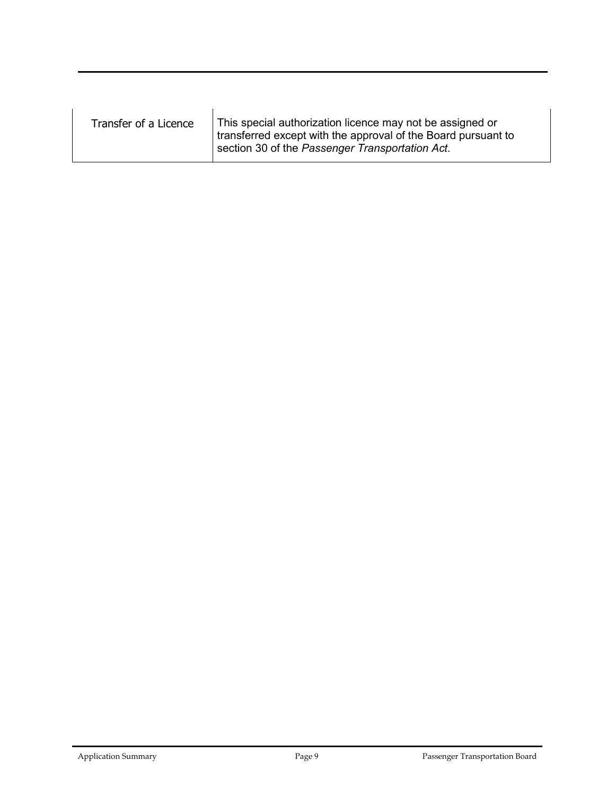| Transfer of a Licence | This special authorization licence may not be assigned or<br>transferred except with the approval of the Board pursuant to<br>section 30 of the Passenger Transportation Act. |
|-----------------------|-------------------------------------------------------------------------------------------------------------------------------------------------------------------------------|
|                       |                                                                                                                                                                               |